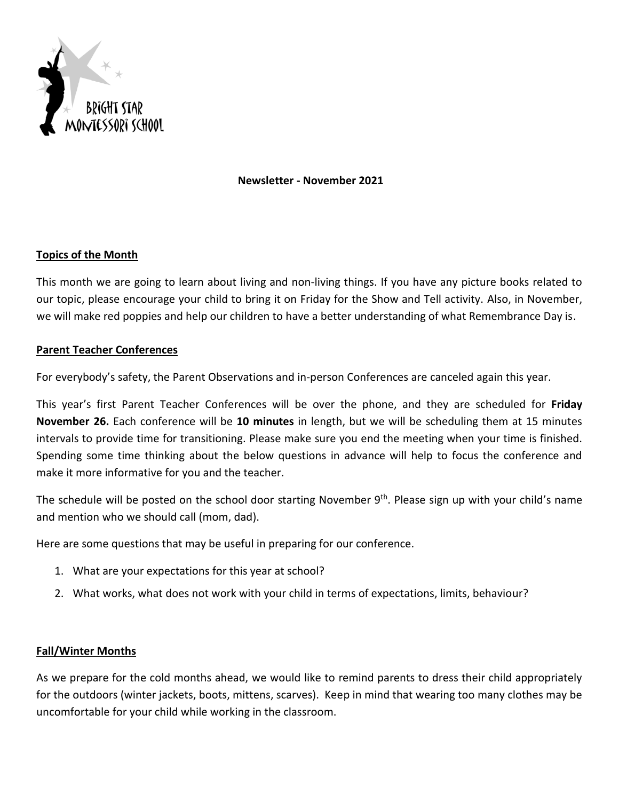

#### **Newsletter - November 2021**

## **Topics of the Month**

This month we are going to learn about living and non-living things. If you have any picture books related to our topic, please encourage your child to bring it on Friday for the Show and Tell activity. Also, in November, we will make red poppies and help our children to have a better understanding of what Remembrance Day is.

# **Parent Teacher Conferences**

For everybody's safety, the Parent Observations and in-person Conferences are canceled again this year.

This year's first Parent Teacher Conferences will be over the phone, and they are scheduled for **Friday November 26.** Each conference will be **10 minutes** in length, but we will be scheduling them at 15 minutes intervals to provide time for transitioning. Please make sure you end the meeting when your time is finished. Spending some time thinking about the below questions in advance will help to focus the conference and make it more informative for you and the teacher.

The schedule will be posted on the school door starting November 9<sup>th</sup>. Please sign up with your child's name and mention who we should call (mom, dad).

Here are some questions that may be useful in preparing for our conference.

- 1. What are your expectations for this year at school?
- 2. What works, what does not work with your child in terms of expectations, limits, behaviour?

## **Fall/Winter Months**

As we prepare for the cold months ahead, we would like to remind parents to dress their child appropriately for the outdoors (winter jackets, boots, mittens, scarves). Keep in mind that wearing too many clothes may be uncomfortable for your child while working in the classroom.